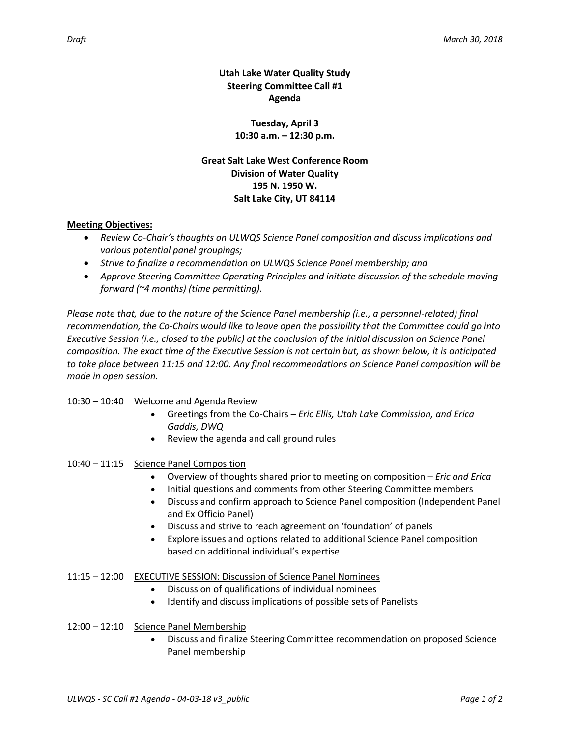**Utah Lake Water Quality Study Steering Committee Call #1 Agenda**

> **Tuesday, April 3 10:30 a.m. – 12:30 p.m.**

**Great Salt Lake West Conference Room Division of Water Quality 195 N. 1950 W. Salt Lake City, UT 84114**

## **Meeting Objectives:**

- *Review Co-Chair's thoughts on ULWQS Science Panel composition and discuss implications and various potential panel groupings;*
- *Strive to finalize a recommendation on ULWQS Science Panel membership; and*
- *Approve Steering Committee Operating Principles and initiate discussion of the schedule moving forward (~4 months) (time permitting).*

*Please note that, due to the nature of the Science Panel membership (i.e., a personnel-related) final recommendation, the Co-Chairs would like to leave open the possibility that the Committee could go into Executive Session (i.e., closed to the public) at the conclusion of the initial discussion on Science Panel composition. The exact time of the Executive Session is not certain but, as shown below, it is anticipated to take place between 11:15 and 12:00. Any final recommendations on Science Panel composition will be made in open session.*

# 10:30 – 10:40 Welcome and Agenda Review

- Greetings from the Co-Chairs *Eric Ellis, Utah Lake Commission, and Erica Gaddis, DWQ*
- Review the agenda and call ground rules
- 10:40 11:15 Science Panel Composition
	- Overview of thoughts shared prior to meeting on composition *Eric and Erica*
	- Initial questions and comments from other Steering Committee members
	- Discuss and confirm approach to Science Panel composition (Independent Panel and Ex Officio Panel)
	- Discuss and strive to reach agreement on 'foundation' of panels
	- Explore issues and options related to additional Science Panel composition based on additional individual's expertise

### 11:15 – 12:00 EXECUTIVE SESSION: Discussion of Science Panel Nominees

- Discussion of qualifications of individual nominees
- Identify and discuss implications of possible sets of Panelists

### 12:00 – 12:10 Science Panel Membership

 Discuss and finalize Steering Committee recommendation on proposed Science Panel membership